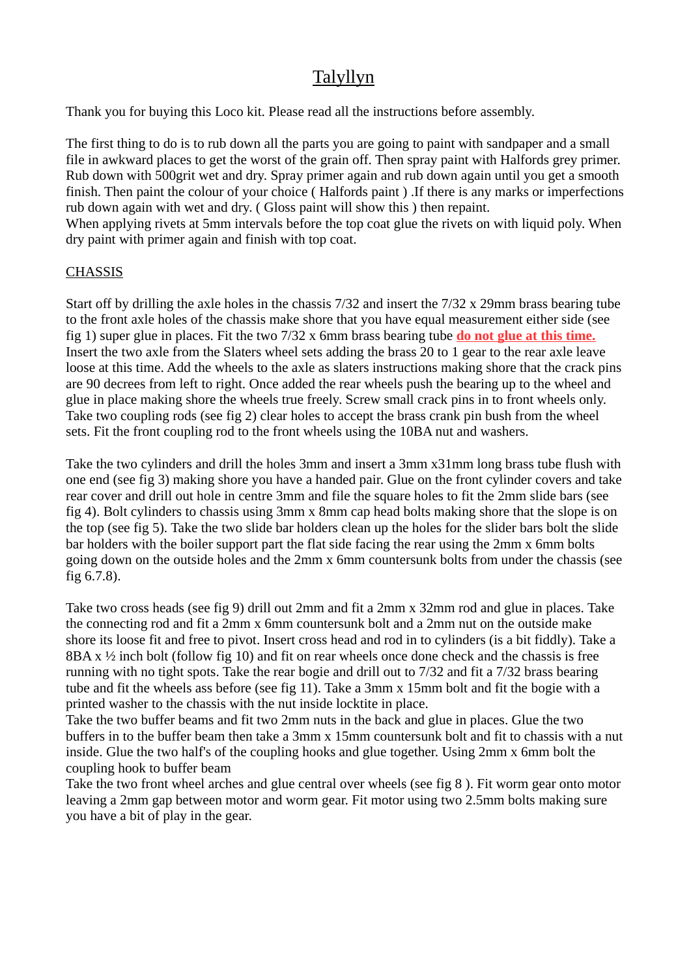## Talyllyn

Thank you for buying this Loco kit. Please read all the instructions before assembly.

The first thing to do is to rub down all the parts you are going to paint with sandpaper and a small file in awkward places to get the worst of the grain off. Then spray paint with Halfords grey primer. Rub down with 500grit wet and dry. Spray primer again and rub down again until you get a smooth finish. Then paint the colour of your choice ( Halfords paint ) .If there is any marks or imperfections rub down again with wet and dry. ( Gloss paint will show this ) then repaint. When applying rivets at 5mm intervals before the top coat glue the rivets on with liquid poly. When dry paint with primer again and finish with top coat.

## **CHASSIS**

Start off by drilling the axle holes in the chassis 7/32 and insert the 7/32 x 29mm brass bearing tube to the front axle holes of the chassis make shore that you have equal measurement either side (see fig 1) super glue in places. Fit the two 7/32 x 6mm brass bearing tube **do not glue at this time.** Insert the two axle from the Slaters wheel sets adding the brass 20 to 1 gear to the rear axle leave loose at this time. Add the wheels to the axle as slaters instructions making shore that the crack pins are 90 decrees from left to right. Once added the rear wheels push the bearing up to the wheel and glue in place making shore the wheels true freely. Screw small crack pins in to front wheels only. Take two coupling rods (see fig 2) clear holes to accept the brass crank pin bush from the wheel sets. Fit the front coupling rod to the front wheels using the 10BA nut and washers.

Take the two cylinders and drill the holes 3mm and insert a 3mm x31mm long brass tube flush with one end (see fig 3) making shore you have a handed pair. Glue on the front cylinder covers and take rear cover and drill out hole in centre 3mm and file the square holes to fit the 2mm slide bars (see fig 4). Bolt cylinders to chassis using 3mm x 8mm cap head bolts making shore that the slope is on the top (see fig 5). Take the two slide bar holders clean up the holes for the slider bars bolt the slide bar holders with the boiler support part the flat side facing the rear using the 2mm x 6mm bolts going down on the outside holes and the 2mm x 6mm countersunk bolts from under the chassis (see fig 6.7.8).

Take two cross heads (see fig 9) drill out 2mm and fit a 2mm x 32mm rod and glue in places. Take the connecting rod and fit a 2mm x 6mm countersunk bolt and a 2mm nut on the outside make shore its loose fit and free to pivot. Insert cross head and rod in to cylinders (is a bit fiddly). Take a 8BA x ½ inch bolt (follow fig 10) and fit on rear wheels once done check and the chassis is free running with no tight spots. Take the rear bogie and drill out to 7/32 and fit a 7/32 brass bearing tube and fit the wheels ass before (see fig 11). Take a 3mm x 15mm bolt and fit the bogie with a printed washer to the chassis with the nut inside locktite in place.

Take the two buffer beams and fit two 2mm nuts in the back and glue in places. Glue the two buffers in to the buffer beam then take a 3mm x 15mm countersunk bolt and fit to chassis with a nut inside. Glue the two half's of the coupling hooks and glue together. Using 2mm x 6mm bolt the coupling hook to buffer beam

Take the two front wheel arches and glue central over wheels (see fig 8 ). Fit worm gear onto motor leaving a 2mm gap between motor and worm gear. Fit motor using two 2.5mm bolts making sure you have a bit of play in the gear.